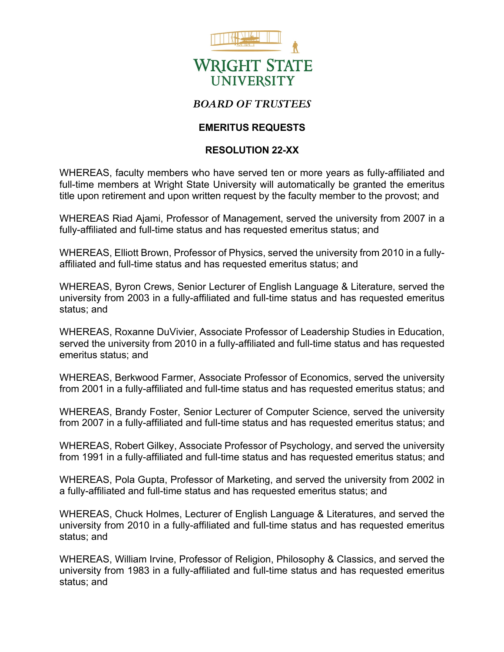

## *BOARD OF TRUSTEES*

## **EMERITUS REQUESTS**

## **RESOLUTION 22-XX**

WHEREAS, faculty members who have served ten or more years as fully-affiliated and full-time members at Wright State University will automatically be granted the emeritus title upon retirement and upon written request by the faculty member to the provost; and

WHEREAS Riad Ajami, Professor of Management, served the university from 2007 in a fully-affiliated and full-time status and has requested emeritus status; and

WHEREAS, Elliott Brown, Professor of Physics, served the university from 2010 in a fullyaffiliated and full-time status and has requested emeritus status; and

WHEREAS, Byron Crews, Senior Lecturer of English Language & Literature, served the university from 2003 in a fully-affiliated and full-time status and has requested emeritus status; and

WHEREAS, Roxanne DuVivier, Associate Professor of Leadership Studies in Education, served the university from 2010 in a fully-affiliated and full-time status and has requested emeritus status; and

WHEREAS, Berkwood Farmer, Associate Professor of Economics, served the university from 2001 in a fully-affiliated and full-time status and has requested emeritus status; and

WHEREAS, Brandy Foster, Senior Lecturer of Computer Science, served the university from 2007 in a fully-affiliated and full-time status and has requested emeritus status; and

WHEREAS, Robert Gilkey, Associate Professor of Psychology, and served the university from 1991 in a fully-affiliated and full-time status and has requested emeritus status; and

WHEREAS, Pola Gupta, Professor of Marketing, and served the university from 2002 in a fully-affiliated and full-time status and has requested emeritus status; and

WHEREAS, Chuck Holmes, Lecturer of English Language & Literatures, and served the university from 2010 in a fully-affiliated and full-time status and has requested emeritus status; and

WHEREAS, William Irvine, Professor of Religion, Philosophy & Classics, and served the university from 1983 in a fully-affiliated and full-time status and has requested emeritus status; and